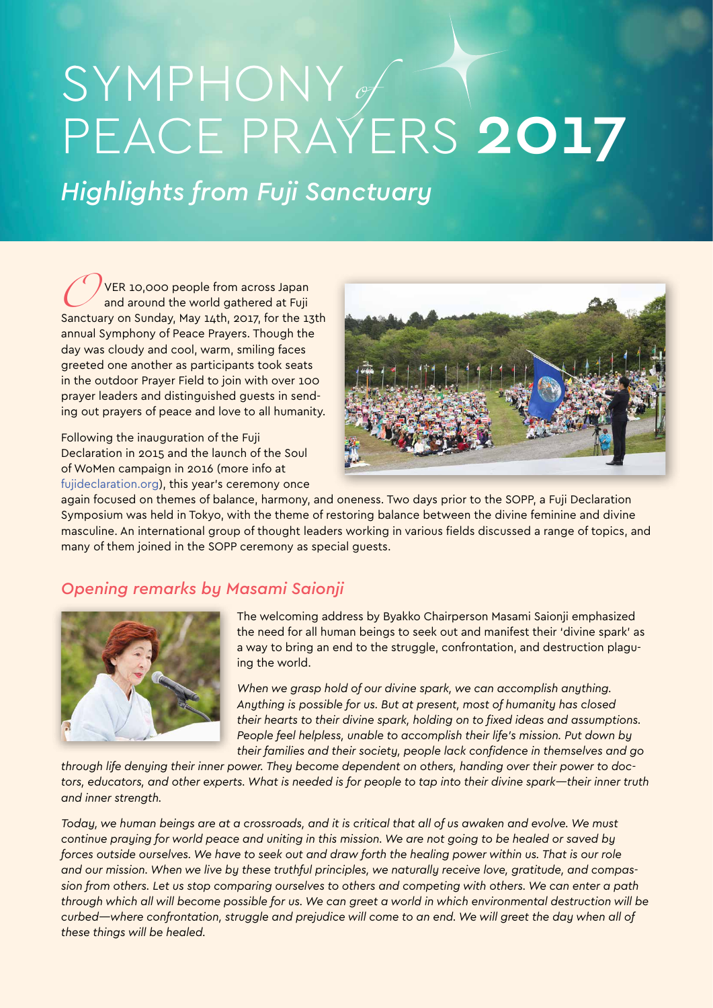# SYMPHONY of PEACE PRAYERS 2017

*Highlights from Fuji Sanctuary*

VER 10,000 people from across Japan and around the world gathered at Fuji Sanctuary on Sunday, May 14th, 2017, for the 13th annual Symphony of Peace Prayers. Though the day was cloudy and cool, warm, smiling faces greeted one another as participants took seats in the outdoor Prayer Field to join with over 100 prayer leaders and distinguished guests in sending out prayers of peace and love to all humanity.

Following the inauguration of the Fuji Declaration in 2015 and the launch of the Soul of WoMen campaign in 2016 (more info at [fujideclaration.org\)](http://fujideclaration.org), this year's ceremony once



again focused on themes of balance, harmony, and oneness. Two days prior to the SOPP, a Fuji Declaration Symposium was held in Tokyo, with the theme of restoring balance between the divine feminine and divine masculine. An international group of thought leaders working in various fields discussed a range of topics, and many of them joined in the SOPP ceremony as special guests.

# *Opening remarks by Masami Saionji*



The welcoming address by Byakko Chairperson Masami Saionji emphasized the need for all human beings to seek out and manifest their 'divine spark' as a way to bring an end to the struggle, confrontation, and destruction plaguing the world.

*When we grasp hold of our divine spark, we can accomplish anything. Anything is possible for us. But at present, most of humanity has closed their hearts to their divine spark, holding on to fixed ideas and assumptions. People feel helpless, unable to accomplish their life's mission. Put down by their families and their society, people lack confidence in themselves and go* 

*through life denying their inner power. They become dependent on others, handing over their power to doctors, educators, and other experts. What is needed is for people to tap into their divine spark—their inner truth and inner strength.* 

*Today, we human beings are at a crossroads, and it is critical that all of us awaken and evolve. We must continue praying for world peace and uniting in this mission. We are not going to be healed or saved by forces outside ourselves. We have to seek out and draw forth the healing power within us. That is our role and our mission. When we live by these truthful principles, we naturally receive love, gratitude, and compassion from others. Let us stop comparing ourselves to others and competing with others. We can enter a path through which all will become possible for us. We can greet a world in which environmental destruction will be curbed—where confrontation, struggle and prejudice will come to an end. We will greet the day when all of these things will be healed.*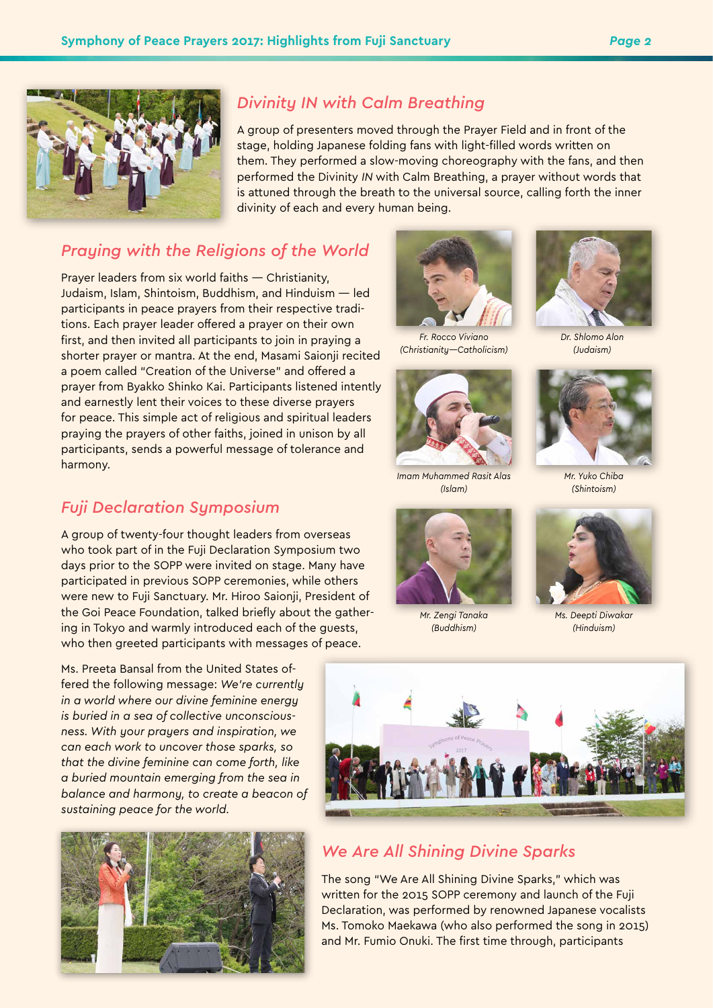

## *Divinity IN with Calm Breathing*

A group of presenters moved through the Prayer Field and in front of the stage, holding Japanese folding fans with light-filled words written on them. They performed a slow-moving choreography with the fans, and then performed the Divinity *IN* with Calm Breathing, a prayer without words that is attuned through the breath to the universal source, calling forth the inner divinity of each and every human being.

## *Praying with the Religions of the World*

Prayer leaders from six world faiths — Christianity, Judaism, Islam, Shintoism, Buddhism, and Hinduism — led participants in peace prayers from their respective traditions. Each prayer leader offered a prayer on their own first, and then invited all participants to join in praying a shorter prayer or mantra. At the end, Masami Saionji recited a poem called "Creation of the Universe" and offered a prayer from Byakko Shinko Kai. Participants listened intently and earnestly lent their voices to these diverse prayers for peace. This simple act of religious and spiritual leaders praying the prayers of other faiths, joined in unison by all participants, sends a powerful message of tolerance and harmony.

#### *Fuji Declaration Symposium*

A group of twenty-four thought leaders from overseas who took part of in the Fuji Declaration Symposium two days prior to the SOPP were invited on stage. Many have participated in previous SOPP ceremonies, while others were new to Fuji Sanctuary. Mr. Hiroo Saionji, President of the Goi Peace Foundation, talked briefly about the gathering in Tokyo and warmly introduced each of the guests, who then greeted participants with messages of peace.

Ms. Preeta Bansal from the United States offered the following message: *We're currently in a world where our divine feminine energy is buried in a sea of collective unconsciousness. With your prayers and inspiration, we can each work to uncover those sparks, so that the divine feminine can come forth, like a buried mountain emerging from the sea in balance and harmony, to create a beacon of sustaining peace for the world.*





*Fr. Rocco Viviano (Christianity—Catholicism)*



*Imam Muhammed Rasit Alas (Islam)*



*Mr. Zengi Tanaka (Buddhism)*



*Dr. Shlomo Alon (Judaism)*



*Mr. Yuko Chiba (Shintoism)*



*Ms. Deepti Diwakar (Hinduism)*



## *We Are All Shining Divine Sparks*

The song "We Are All Shining Divine Sparks," which was written for the 2015 SOPP ceremony and launch of the Fuji Declaration, was performed by renowned Japanese vocalists Ms. Tomoko Maekawa (who also performed the song in 2015) and Mr. Fumio Onuki. The first time through, participants